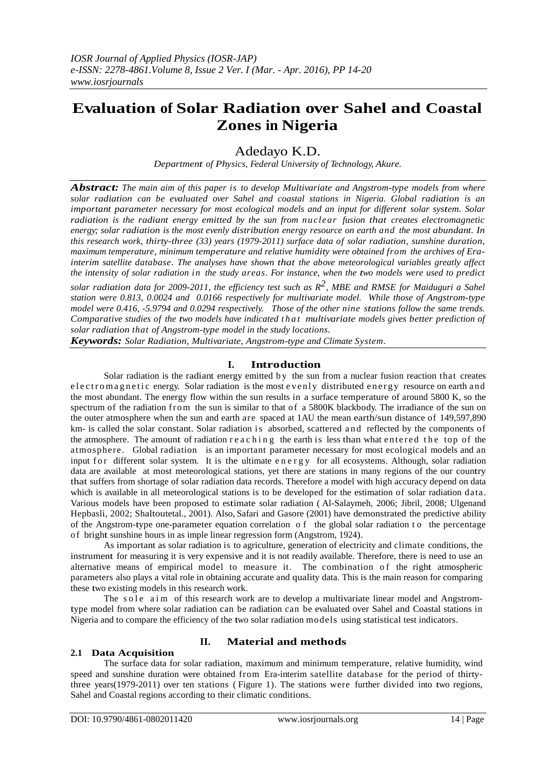# **Evaluation of Solar Radiation over Sahel and Coastal Zones in Nigeria**

## Adedayo K.D.

*Department of Physics, Federal University of Technology, Akure.*

*Abstract: The main aim of this paper is to develop Multivariate and Angstrom-type models from where solar radiation can be evaluated over Sahel and coastal stations in Nigeria. Global radiation is an important parameter necessary for most ecological models and an input for different solar system. Solar radiation is the radiant energy emitted by the sun from nuclear fusion that creates electromagnetic energy; solar radiation is the most evenly distribution energy resource on earth and the most abundant. In this research work, thirty-three (33) years (1979-2011) surface data of solar radiation, sunshine duration, maximum temperature, minimum temperature and relative humidity were obtained from the archives of Erainterim satellite database. The analyses have shown that the above meteorological variables greatly affect the intensity of solar radiation in the study areas. For instance, when the two models were used to predict* 

*solar radiation data for 2009-2011, the efficiency test such as R 2 , MBE and RMSE for Maiduguri a Sahel station were 0.813, 0.0024 and 0.0166 respectively for multivariate model. While those of Angstrom-type model were 0.416, -5.9794 and 0.0294 respectively. Those of the other nine stations follow the same trends. Comparative studies of the two models have indicated t h a t multivariate models gives better prediction of solar radiation that of Angstrom-type model in the study locations.* 

*Keywords: Solar Radiation, Multivariate, Angstrom-type and Climate System.*

## **I. Introduction**

Solar radiation is the radiant energy emitted by the sun from a nuclear fusion reaction that creates e l e c t r o m a g n e t i c energy. Solar radiation is the most even ly distributed energy resource on earth and the most abundant. The energy flow within the sun results in a surface temperature of around 5800 K, so the spectrum of the radiation from the sun is similar to that of a 5800K blackbody. The irradiance of the sun on the outer atmosphere when the sun and earth are spaced at 1AU the mean earth/sun distance of 149,597,890 km- is called the solar constant. Solar radiation is absorbed, scattered and reflected by the components of the atmosphere. The amount of radiation r e a c h i n g the earth is less than what entered the top of the atmosphere. Global radiation is an important parameter necessary for most ecological models and an input for different solar system. It is the ultimate  $e$  n e r g y for all ecosystems. Although, solar radiation data are available at most meteorological stations, yet there are stations in many regions of the our country that suffers from shortage of solar radiation data records. Therefore a model with high accuracy depend on data which is available in all meteorological stations is to be developed for the estimation of solar radiation data. Various models have been proposed to estimate solar radiation ( Al-Salaymeh, 2006; Jibril, 2008; Ulgenand Hepbasli, 2002; Shaltoutetal., 2001). Also, Safari and Gasore (2001) have demonstrated the predictive ability of the Angstrom-type one-parameter equation correlation of the global solar radiation to the percentage o f bright sunshine hours in as imple linear regression form (Angstrom, 1924).

As important as solar radiation is to agriculture, generation of electricity and climate conditions, the instrument for measuring it is very expensive and it is not readily available. Therefore, there is need to use an alternative means of empirical model to measure it. The combination of the right atmospheric parameters also plays a vital role in obtaining accurate and quality data. This is the main reason for comparing these two existing models in this research work.

The sole aim of this research work are to develop a multivariate linear model and Angstromtype model from where solar radiation can be radiation can be evaluated over Sahel and Coastal stations in Nigeria and to compare the efficiency of the two solar radiation models using statistical test indicators.

### **2.1 Data Acquisition**

## **II. Material and methods**

The surface data for solar radiation, maximum and minimum temperature, relative humidity, wind speed and sunshine duration were obtained from Era-interim satellite database for the period of thirtythree years(1979-2011) over ten stations ( Figure 1). The stations were further divided into two regions, Sahel and Coastal regions according to their climatic conditions.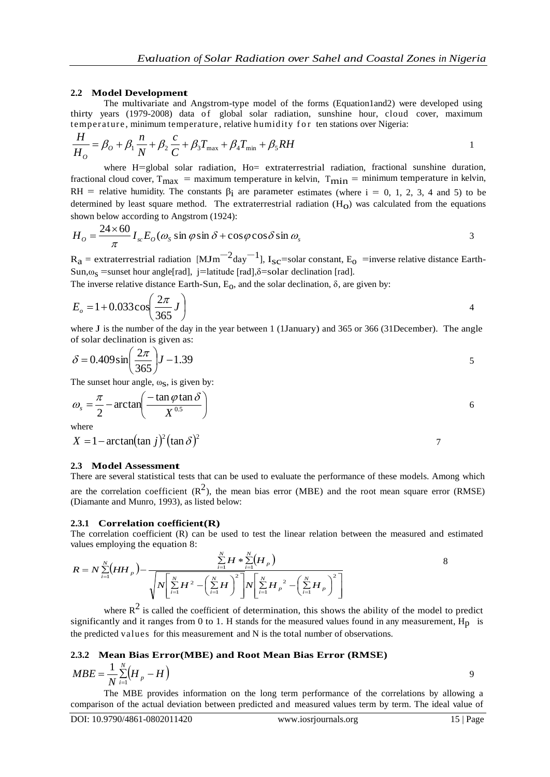#### **2.2 Model Development**

The multivariate and Angstrom-type model of the forms (Equation1and2) were developed using thirty years (1979-2008) data of global solar radiation, sunshine hour, cloud cover, maximum temperature, minimum temperature, relative humidity for ten stations over Nigeria:

$$
\frac{H}{H_o} = \beta_o + \beta_1 \frac{n}{N} + \beta_2 \frac{c}{C} + \beta_3 T_{\text{max}} + \beta_4 T_{\text{min}} + \beta_5 RH
$$

where H=global solar radiation, Ho= extraterrestrial radiation, fractional sunshine duration, fractional cloud cover,  $T_{\text{max}}$  = maximum temperature in kelvin,  $T_{\text{min}}$  = minimum temperature in kelvin, RH = relative humidity. The constants  $\beta_i$  are parameter estimates (where i = 0, 1, 2, 3, 4 and 5) to be determined by least square method. The extraterrestrial radiation (H<sub>O</sub>) was calculated from the equations shown below according to Angstrom (1924):

$$
H_o = \frac{24 \times 60}{\pi} I_{sc} E_o(\omega_s \sin \varphi \sin \delta + \cos \varphi \cos \delta \sin \omega_s)
$$

 $R_a$  = extraterrestrial radiation [MJm<sup>-2</sup>day<sup>-1</sup>], I<sub>SC</sub>=solar constant, E<sub>0</sub> =inverse relative distance Earth-Sun, $\omega_s$  =sunset hour angle[rad], j=latitude [rad], $\delta$ =solar declination [rad].

The inverse relative distance Earth-Sun,  $E_0$ , and the solar declination,  $\delta$ , are given by:

$$
E_o = 1 + 0.033 \cos \left( \frac{2\pi}{365} J \right)
$$

where J is the number of the day in the year between 1 (1January) and 365 or 366 (31December). The angle of solar declination is given as:

$$
\delta = 0.409 \sin \left( \frac{2\pi}{365} \right) J - 1.39
$$

The sunset hour angle,  $\omega_{\mathbf{S}}$ , is given by:

$$
\omega_s = \frac{\pi}{2} - \arctan\left(\frac{-\tan\varphi\tan\delta}{X^{0.5}}\right)
$$

where

$$
X = 1 - \arctan(\tan j)^2 (\tan \delta)^2
$$

#### **2.3 Model Assessment**

There are several statistical tests that can be used to evaluate the performance of these models. Among which are the correlation coefficient  $(R^2)$ , the mean bias error (MBE) and the root mean square error (RMSE) (Diamante and Munro, 1993), as listed below:

#### **2.3.1 Correlation coefficient(R)**

The correlation coefficient (R) can be used to test the linear relation between the measured and estimated values employing the equation 8:

$$
R = N \sum_{i=1}^{N} (HH_{p}) - \frac{\sum_{i=1}^{N} H * \sum_{i=1}^{N} (H_{p})}{\sqrt{N \left[ \sum_{i=1}^{N} H^{2} - \left( \sum_{i=1}^{N} H \right)^{2} \right] N \left[ \sum_{i=1}^{N} H_{p}^{2} - \left( \sum_{i=1}^{N} H_{p} \right)^{2} \right]}}
$$
8

where  $R^2$  is called the coefficient of determination, this shows the ability of the model to predict significantly and it ranges from 0 to 1. H stands for the measured values found in any measurement,  $H_p$  is the predicted values for this measurement and N is the total number of observations.

#### **2.3.2 Mean Bias Error(MBE) and Root Mean Bias Error (RMSE)**

$$
MBE = \frac{1}{N} \sum_{i=1}^{N} (H_p - H)
$$

The MBE provides information on the long term performance of the correlations by allowing a comparison of the actual deviation between predicted and measured values term by term. The ideal value of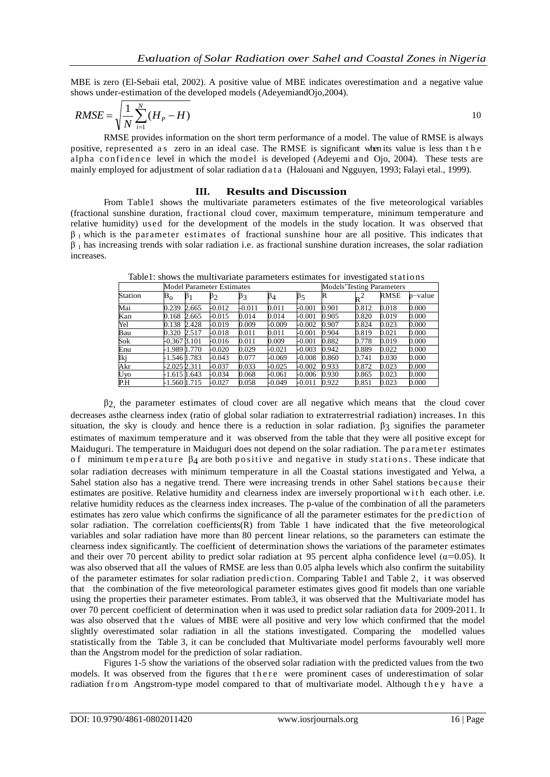MBE is zero (El-Sebaii etal, 2002). A positive value of MBE indicates overestimation and a negative value shows under-estimation of the developed models (AdeyemiandOjo,2004).

$$
RMSE = \sqrt{\frac{1}{N} \sum_{i=1}^{N} (H_p - H)}
$$

RMSE provides information on the short term performance of a model. The value of RMSE is always positive, represented as zero in an ideal case. The RMSE is significant when its value is less than the alpha confidence level in which the model is developed (Adeyemi and Ojo, 2004). These tests are mainly employed for adjustment of solar radiation d a t a (Halouani and Ngguyen, 1993; Falayi etal., 1999).

#### **III. Results and Discussion**

From Table1 shows the multivariate parameters estimates of the five meteorological variables (fractional sunshine duration, fractional cloud cover, maximum temperature, minimum temperature and relative humidity) used for the development of the models in the study location. It was observed that  $\beta_1$  which is the parameter estimates of fractional sunshine hour are all positive. This indicates that  $\beta_1$  has increasing trends with solar radiation i.e. as fractional sunshine duration increases, the solar radiation increases.

|         | <b>Model Parameter Estimates</b> |           |           |           | <b>Models'Testing Parameters</b> |           |       |       |             |           |
|---------|----------------------------------|-----------|-----------|-----------|----------------------------------|-----------|-------|-------|-------------|-----------|
| Station | $\mathrm{B}_\mathrm{O}$          | $\beta_1$ | $\beta_2$ | $\beta_3$ | $\beta_4$                        | $\beta_5$ | R     | R     | <b>RMSE</b> | p-value   |
| Mai     | 0.239                            | 2.665     | $-0.012$  | $-0.011$  | 0.011                            | -0.001    | 0.901 | 0.812 | 0.018       | 0.000     |
| Kan     | 0.168                            | 2.665     | $-0.015$  | 0.014     | 0.014                            | $-0.001$  | 0.905 | 0.820 | 0.019       | $0.000\,$ |
| Yel     | 0.138                            | 2.428     | $-0.019$  | 0.009     | $-0.009$                         | $-0.002$  | 0.907 | 0.824 | 0.023       | $0.000\,$ |
| Bau     | 0.320                            | 2.517     | $-0.018$  | 0.011     | 0.011                            | $-0.001$  | 0.904 | 0.819 | 0.021       | 0.000     |
| Sok     | $-0.367$ 3.101                   |           | $-0.016$  | 0.011     | 0.009                            | $-0.001$  | 0.882 | 0.778 | 0.019       | 0.000     |
| Enu     | -1.989 1.770                     |           | $-0.020$  | 0.029     | $-0.021$                         | $-0.003$  | 0.942 | 0.889 | 0.022       | 0.000     |
| Iki     | -1.546 1.783                     |           | $-0.043$  | 0.077     | $-0.069$                         | $-0.008$  | 0.860 | 0.741 | 0.030       | 0.000     |
| Akr     | $-2.025$ 2.311                   |           | $-0.037$  | 0.033     | $-0.025$                         | $-0.002$  | 0.933 | 0.872 | 0.023       | 0.000     |
| Uvo     | $-1.615$ 1.643                   |           | $-0.034$  | 0.068     | $-0.061$                         | $-0.006$  | 0.930 | 0.865 | 0.023       | $0.000\,$ |
| P.H     | -1.560 1.715                     |           | $-0.027$  | 0.058     | -0.049                           | $-0.011$  | 0.922 | 0.851 | 0.023       | 0.000     |

Table1: shows the multivariate parameters estimates for investigated stations

β2, the parameter estimates of cloud cover are all negative which means that the cloud cover decreases asthe clearness index (ratio of global solar radiation to extraterrestrial radiation) increases. In this situation, the sky is cloudy and hence there is a reduction in solar radiation.  $\beta_3$  signifies the parameter estimates of maximum temperature and it was observed from the table that they were all positive except for Maiduguri. The temperature in Maiduguri does not depend on the solar radiation. The parameter estimates o f minimum t emperature  $\beta_4$  are both positive and negative in study stations. These indicate that solar radiation decreases with minimum temperature in all the Coastal stations investigated and Yelwa, a Sahel station also has a negative trend. There were increasing trends in other Sahel stations because their estimates are positive. Relative humidity and clearness index are inversely proportional with each other. i.e. relative humidity reduces as the clearness index increases. The p-value of the combination of all the parameters estimates has zero value which confirms the significance of all the parameter estimates for the prediction of solar radiation. The correlation coefficients $(R)$  from Table 1 have indicated that the five meteorological variables and solar radiation have more than 80 percent linear relations, so the parameters can estimate the clearness index significantly. The coefficient of determination shows the variations of the parameter estimates and their over 70 percent ability to predict solar radiation at 95 percent alpha confidence level ( $\alpha$ =0.05). It was also observed that all the values of RMSE are less than 0.05 alpha levels which also confirm the suitability of the parameter estimates for solar radiation prediction. Comparing Table1 and Table 2, i t was observed that the combination of the five meteorological parameter estimates gives good fit models than one variable using the properties their parameter estimates. From table3, it was observed that the Multivariate model has over 70 percent coefficient of determination when it was used to predict solar radiation data for 2009-2011. It was also observed that the values of MBE were all positive and very low which confirmed that the model slightly overestimated solar radiation in all the stations investigated. Comparing the modelled values statistically from the Table 3, it can be concluded that Multivariate model performs favourably well more than the Angstrom model for the prediction of solar radiation.

Figures 1-5 show the variations of the observed solar radiation with the predicted values from the two models. It was observed from the figures that there were prominent cases of underestimation of solar radiation from Angstrom-type model compared to that of multivariate model. Although they have a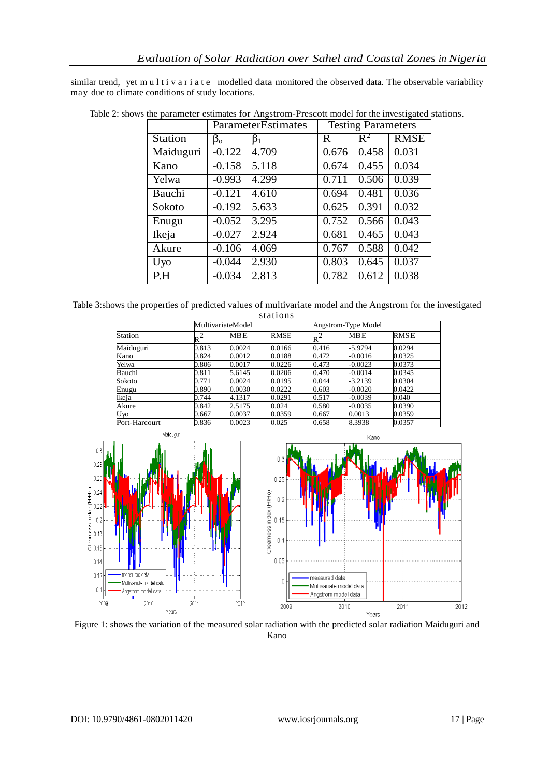similar trend, yet multivariate modelled data monitored the observed data. The observable variability may due to climate conditions of study locations.

|                |             | ParameterEstimates | <b>Testing Parameters</b> |       |             |  |
|----------------|-------------|--------------------|---------------------------|-------|-------------|--|
| <b>Station</b> | $\beta_{o}$ | $\beta_1$          | $\mathbf R$               | $R^2$ | <b>RMSE</b> |  |
| Maiduguri      | $-0.122$    | 4.709              | 0.676                     | 0.458 | 0.031       |  |
| Kano           | $-0.158$    | 5.118              | 0.674                     | 0.455 | 0.034       |  |
| Yelwa          | $-0.993$    | 4.299              | 0.711                     | 0.506 | 0.039       |  |
| Bauchi         | $-0.121$    | 4.610              | 0.694                     | 0.481 | 0.036       |  |
| Sokoto         | $-0.192$    | 5.633              | 0.625                     | 0.391 | 0.032       |  |
| Enugu          | $-0.052$    | 3.295              | 0.752                     | 0.566 | 0.043       |  |
| Ikeja          | $-0.027$    | 2.924              | 0.681                     | 0.465 | 0.043       |  |
| Akure          | $-0.106$    | 4.069              | 0.767                     | 0.588 | 0.042       |  |
| Uyo            | $-0.044$    | 2.930              | 0.803                     | 0.645 | 0.037       |  |
| P.H            | $-0.034$    | 2.813              | 0.782                     | 0.612 | 0.038       |  |

Table 2: shows the parameter estimates for Angstrom-Prescott model for the investigated stations.

Table 3:shows the properties of predicted values of multivariate model and the Angstrom for the investigated stations

|               |       | MultivariateModel |        |               | Angstrom-Type Model |             |  |  |
|---------------|-------|-------------------|--------|---------------|---------------------|-------------|--|--|
| Station       | ◠     | <b>MBE</b>        | RMSE   | $\gamma$<br>R | <b>MBE</b>          | <b>RMSE</b> |  |  |
| Maiduguri     | 0.813 | 0.0024            | 0.0166 | 0.416         | $-5.9794$           | 0.0294      |  |  |
| Kano          | 0.824 | 0.0012            | 0.0188 | 0.472         | $-0.0016$           | 0.0325      |  |  |
| Yelwa         | 0.806 | 0.0017            | 0.0226 | 0.473         | $-0.0023$           | 0.0373      |  |  |
| Bauchi        | 0.811 | 5.6145            | 0.0206 | 0.470         | $-0.0014$           | 0.0345      |  |  |
| Sokoto        | 0.771 | 0.0024            | 0.0195 | 0.044         | -3.2139             | 0.0304      |  |  |
| Enugu         | 0.890 | 0.0030            | 0.0222 | 0.603         | $-0.0020$           | 0.0422      |  |  |
| Ikeja         | 0.744 | 4.1317            | 0.0291 | 0.517         | $-0.0039$           | 0.040       |  |  |
| Akure         | 0.842 | 2.5175            | 0.024  | 0.580         | $-0.0035$           | 0.0390      |  |  |
| Uyo           | 0.667 | 0.0037            | 0.0359 | 0.667         | 0.0013              | 0.0359      |  |  |
| Port-Harcourt | 0.836 | 0.0023            | 0.025  | 0.658         | 8.3938              | 0.0357      |  |  |





Figure 1: shows the variation of the measured solar radiation with the predicted solar radiation Maiduguri and Kano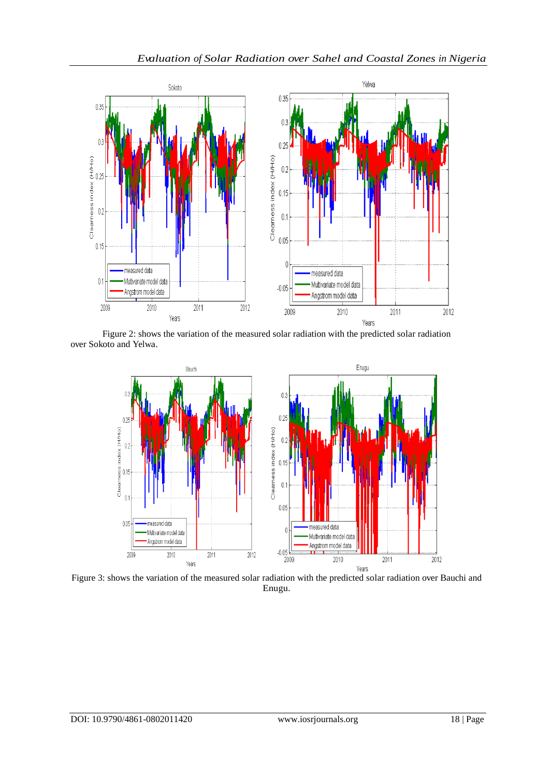

Figure 2: shows the variation of the measured solar radiation with the predicted solar radiation over Sokoto and Yelwa.



Figure 3: shows the variation of the measured solar radiation with the predicted solar radiation over Bauchi and Enugu.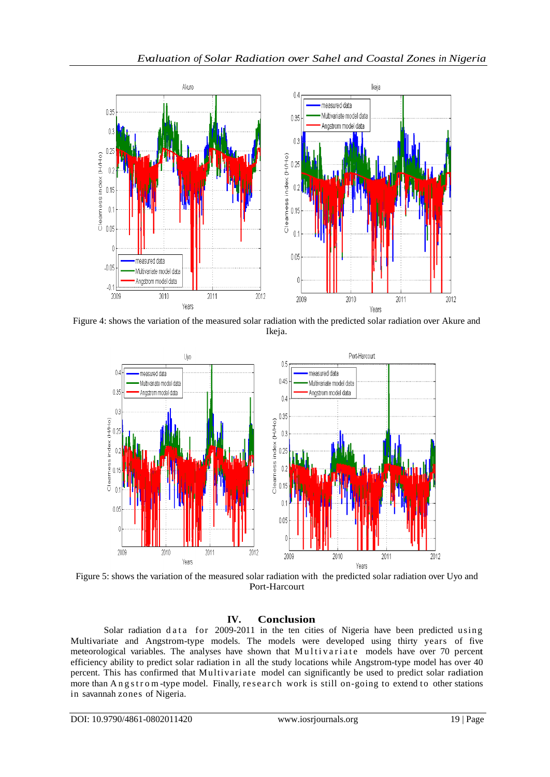

Figure 4: shows the variation of the measured solar radiation with the predicted solar radiation over Akure and Ikeja.



Figure 5: shows the variation of the measured solar radiation with the predicted solar radiation over Uyo and Port-Harcourt

## **IV. Conclusion**

Solar radiation d a t a for 2009-2011 in the ten cities of Nigeria have been predicted using Multivariate and Angstrom-type models. The models were developed using thirty years of five meteorological variables. The analyses have shown that Multivariate models have over 70 percent efficiency ability to predict solar radiation in all the study locations while Angstrom-type model has over 40 percent. This has confirmed that Multivariate model can significantly be used to predict solar radiation more than Angstrom-type model. Finally, research work is still on-going to extend to other stations in savannah zones of Nigeria.